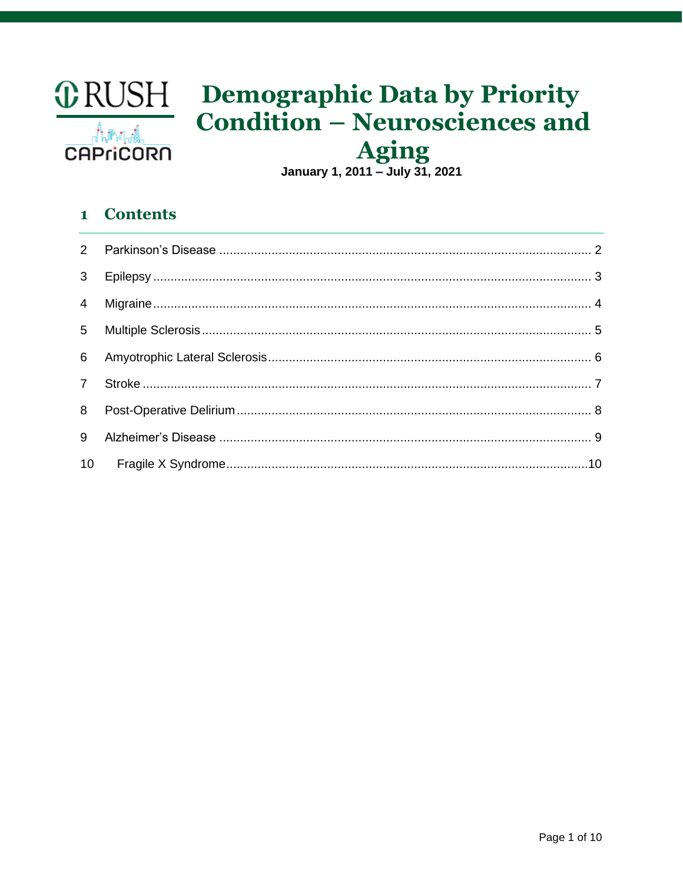

# **CORUSH** Demographic Data by Priority **Condition - Neurosciences and**

Aging<br>January 1, 2011 – July 31, 2021

# 1 Contents

| 3 <sup>7</sup> |  |
|----------------|--|
|                |  |
|                |  |
|                |  |
| $\overline{7}$ |  |
|                |  |
| 9              |  |
|                |  |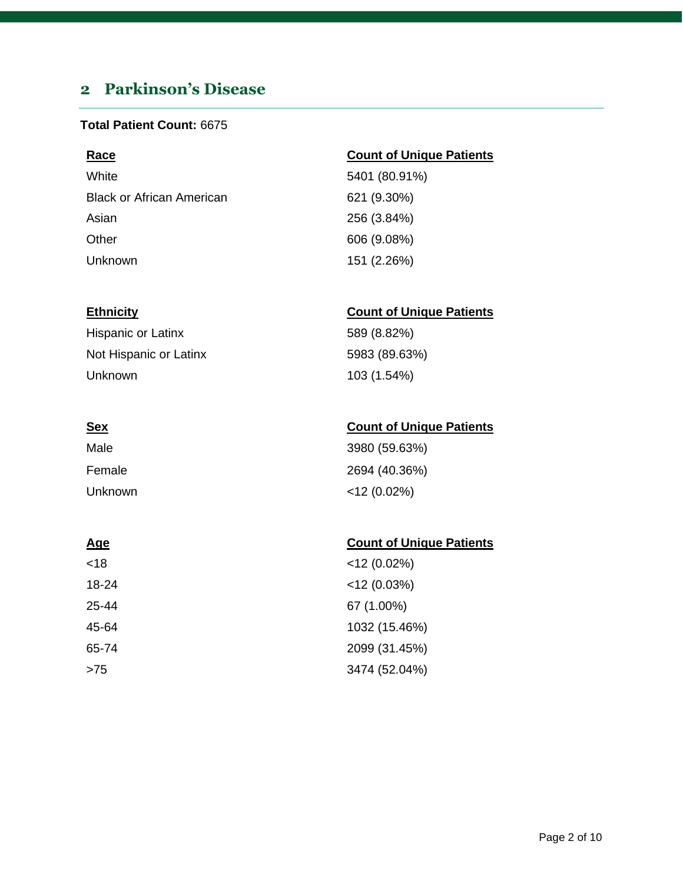# <span id="page-1-0"></span>**2 Parkinson's Disease**

### **Total Patient Count:** 6675

| Race                             | <b>Count of Unique Patients</b> |
|----------------------------------|---------------------------------|
| White                            | 5401 (80.91%)                   |
| <b>Black or African American</b> | 621 (9.30%)                     |
| Asian                            | 256 (3.84%)                     |
| Other                            | 606 (9.08%)                     |
| Unknown                          | 151 (2.26%)                     |

### **Ethnicity Count of Unique Patients**

| Hispanic or Latinx     | 589 (8.82%)   |
|------------------------|---------------|
| Not Hispanic or Latinx | 5983 (89.63%) |
| Unknown                | 103 (1.54%)   |

| ٠<br>۰. |  |
|---------|--|

| <u>Sex</u> | <b>Count of Unique Patients</b> |
|------------|---------------------------------|
| Male       | 3980 (59.63%)                   |
| Female     | 2694 (40.36%)                   |
| Unknown    | $<$ 12 (0.02%)                  |

| <18   | $<$ 12 (0.02%) |
|-------|----------------|
| 18-24 | $<$ 12 (0.03%) |
| 25-44 | 67 (1.00%)     |
| 45-64 | 1032 (15.46%)  |
| 65-74 | 2099 (31.45%)  |
| >75   | 3474 (52.04%)  |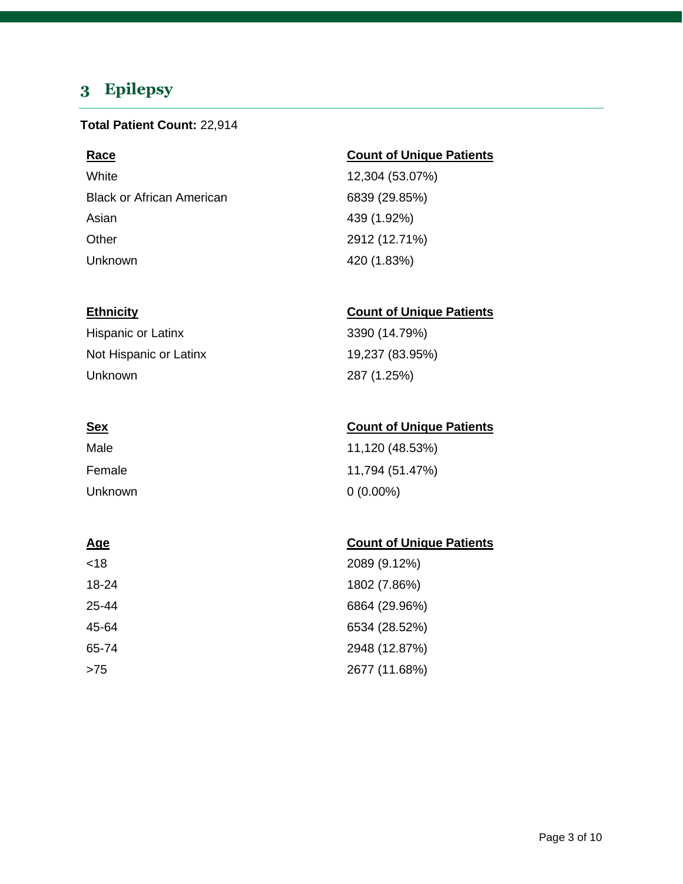# <span id="page-2-0"></span>**3 Epilepsy**

### **Total Patient Count:** 22,914

White 12,304 (53.07%) Black or African American 6839 (29.85%) Asian 439 (1.92%) Other 2912 (12.71%) Unknown 420 (1.83%)

Hispanic or Latinx 3390 (14.79%) Not Hispanic or Latinx 19,237 (83.95%) Unknown 287 (1.25%)

| Male    | 11,120 (48.53%) |
|---------|-----------------|
| Female  | 11,794 (51.47%) |
| Unknown | $0(0.00\%)$     |

| <18   | 2089 (9.12%)  |
|-------|---------------|
| 18-24 | 1802 (7.86%)  |
| 25-44 | 6864 (29.96%) |
| 45-64 | 6534 (28.52%) |
| 65-74 | 2948 (12.87%) |
| >75   | 2677 (11.68%) |

### **Race Count of Unique Patients**

### **Ethnicity Count of Unique Patients**

### **Sex Count of Unique Patients**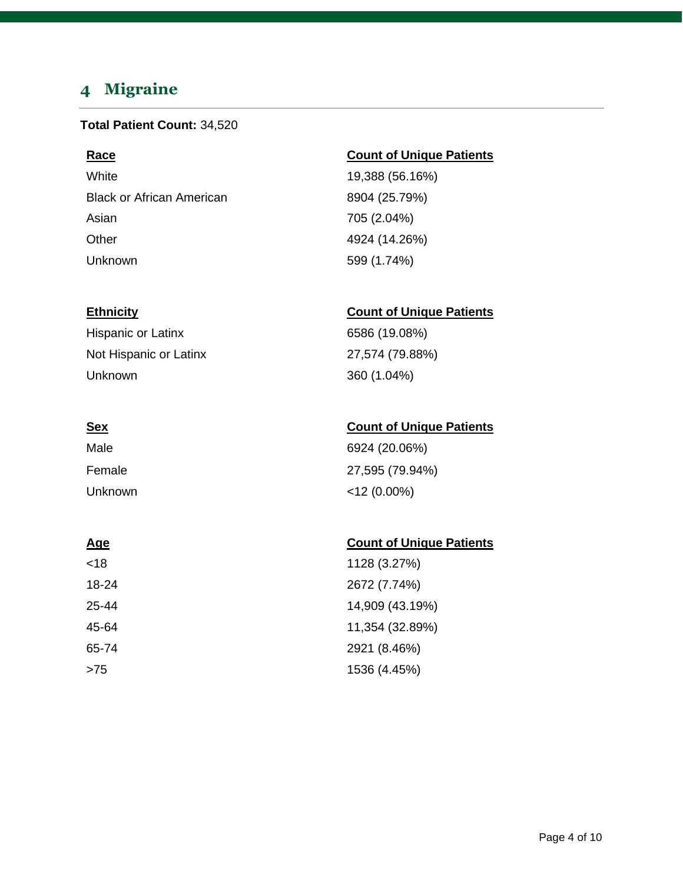# <span id="page-3-0"></span>**4 Migraine**

### **Total Patient Count:** 34,520

White 19,388 (56.16%) Black or African American 8904 (25.79%) Asian 705 (2.04%) Other 4924 (14.26%) Unknown 599 (1.74%)

Hispanic or Latinx 6586 (19.08%) Not Hispanic or Latinx 27,574 (79.88%) Unknown 360 (1.04%)

| Male    | 6924 (20.06%)   |
|---------|-----------------|
| Female  | 27,595 (79.94%) |
| Unknown | $<$ 12 (0.00%)  |

### **Age** Count of Unique Patients

| <18   | 1128 (3.27%)    |
|-------|-----------------|
| 18-24 | 2672 (7.74%)    |
| 25-44 | 14,909 (43.19%) |
| 45-64 | 11,354 (32.89%) |
| 65-74 | 2921 (8.46%)    |
| >75   | 1536 (4.45%)    |

### **Race Count of Unique Patients**

### **Ethnicity Count of Unique Patients**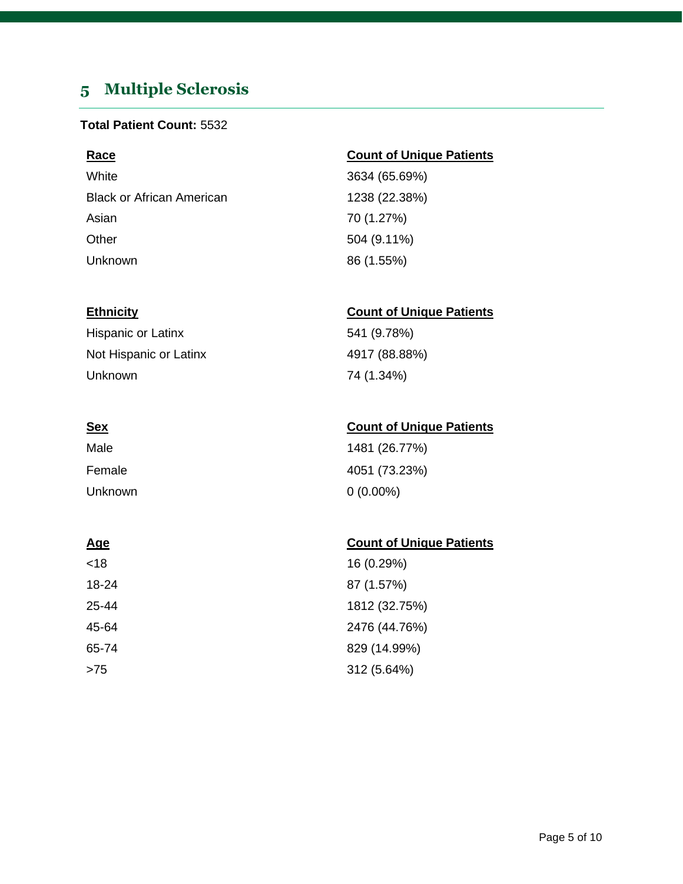# <span id="page-4-0"></span>**5 Multiple Sclerosis**

### **Total Patient Count:** 5532

White 3634 (65.69%) Black or African American 1238 (22.38%) Asian 70 (1.27%) Other 504 (9.11%) Unknown 86 (1.55%)

### **Race Count of Unique Patients**

### **Ethnicity Count of Unique Patients**

Hispanic or Latinx 541 (9.78%) Not Hispanic or Latinx 4917 (88.88%) Unknown 74 (1.34%)

### **Sex Count of Unique Patients**

| Male    | 1481 (26.77%) |
|---------|---------------|
| Female  | 4051 (73.23%) |
| Unknown | $0(0.00\%)$   |

| <18   | 16 (0.29%)    |
|-------|---------------|
| 18-24 | 87 (1.57%)    |
| 25-44 | 1812 (32.75%) |
| 45-64 | 2476 (44.76%) |
| 65-74 | 829 (14.99%)  |
| >75   | 312 (5.64%)   |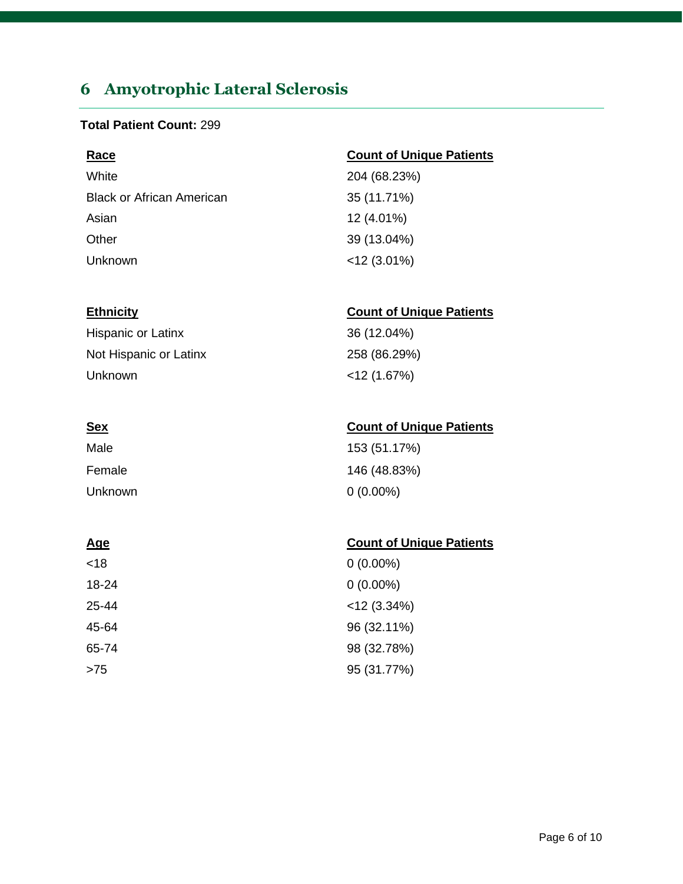# <span id="page-5-0"></span>**6 Amyotrophic Lateral Sclerosis**

### **Total Patient Count:** 299

| <b>Race</b>                      | <b>Count of Unique Patients</b> |
|----------------------------------|---------------------------------|
| White                            | 204 (68.23%)                    |
| <b>Black or African American</b> | 35 (11.71%)                     |
| Asian                            | 12 (4.01%)                      |
| Other                            | 39 (13.04%)                     |
| Unknown                          | $<$ 12 (3.01%)                  |

### **Ethnicity Count of Unique Patients**

| Hispanic or Latinx     | 36 (12.04%)    |
|------------------------|----------------|
| Not Hispanic or Latinx | 258 (86.29%)   |
| Unknown                | $<$ 12 (1.67%) |

| <u>Sex</u> | <b>Count of Unique Patients</b> |
|------------|---------------------------------|
| Male       | 153 (51.17%)                    |
| Female     | 146 (48.83%)                    |
| Unknown    | $0(0.00\%)$                     |

| <18   | $0(0.00\%)$    |
|-------|----------------|
| 18-24 | $0(0.00\%)$    |
| 25-44 | $<$ 12 (3.34%) |
| 45-64 | 96 (32.11%)    |
| 65-74 | 98 (32.78%)    |
| >75   | 95 (31.77%)    |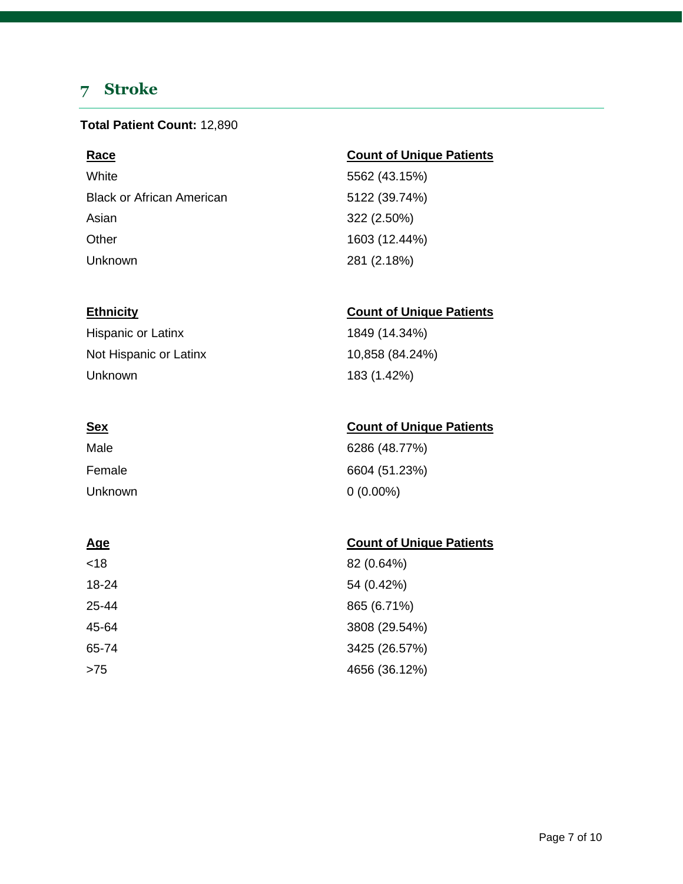# <span id="page-6-0"></span>**7 Stroke**

### **Total Patient Count:** 12,890

White 5562 (43.15%) Black or African American 5122 (39.74%) Asian 322 (2.50%) Other 1603 (12.44%) Unknown 281 (2.18%)

Hispanic or Latinx 1849 (14.34%) Not Hispanic or Latinx 10,858 (84.24%) Unknown 183 (1.42%)

| Male    | 6286 (48.77%) |
|---------|---------------|
| Female  | 6604 (51.23%) |
| Unknown | $0(0.00\%)$   |

| <18   | 82 (0.64%)    |
|-------|---------------|
| 18-24 | 54 (0.42%)    |
| 25-44 | 865 (6.71%)   |
| 45-64 | 3808 (29.54%) |
| 65-74 | 3425 (26.57%) |
| >75   | 4656 (36.12%) |

### **Race Count of Unique Patients**

### **Ethnicity Count of Unique Patients**

### **Sex Count of Unique Patients**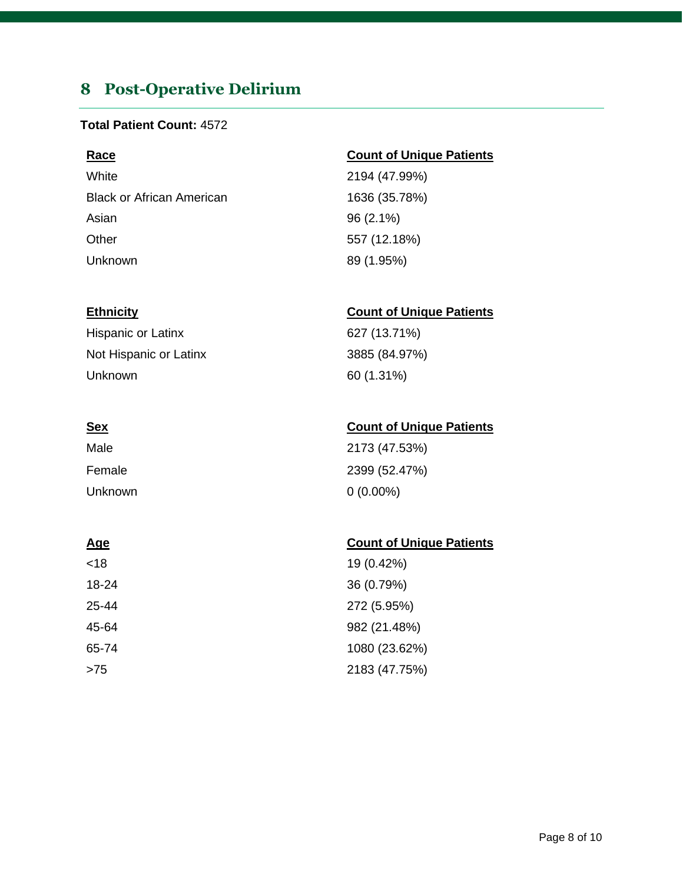# <span id="page-7-0"></span>**8 Post-Operative Delirium**

### **Total Patient Count:** 4572

White 2194 (47.99%) Black or African American 1636 (35.78%) Asian 96 (2.1%) Other 557 (12.18%) Unknown 89 (1.95%)

Hispanic or Latinx 627 (13.71%) Not Hispanic or Latinx 3885 (84.97%) Unknown 60 (1.31%)

| Male    | 2173 (47.53%) |
|---------|---------------|
| Female  | 2399 (52.47%) |
| Unknown | $0(0.00\%)$   |

| <18   | 19 (0.42%)    |
|-------|---------------|
| 18-24 | 36 (0.79%)    |
| 25-44 | 272 (5.95%)   |
| 45-64 | 982 (21.48%)  |
| 65-74 | 1080 (23.62%) |
| >75   | 2183 (47.75%) |

### **Race Count of Unique Patients**

### **Ethnicity Count of Unique Patients**

### **Sex Count of Unique Patients**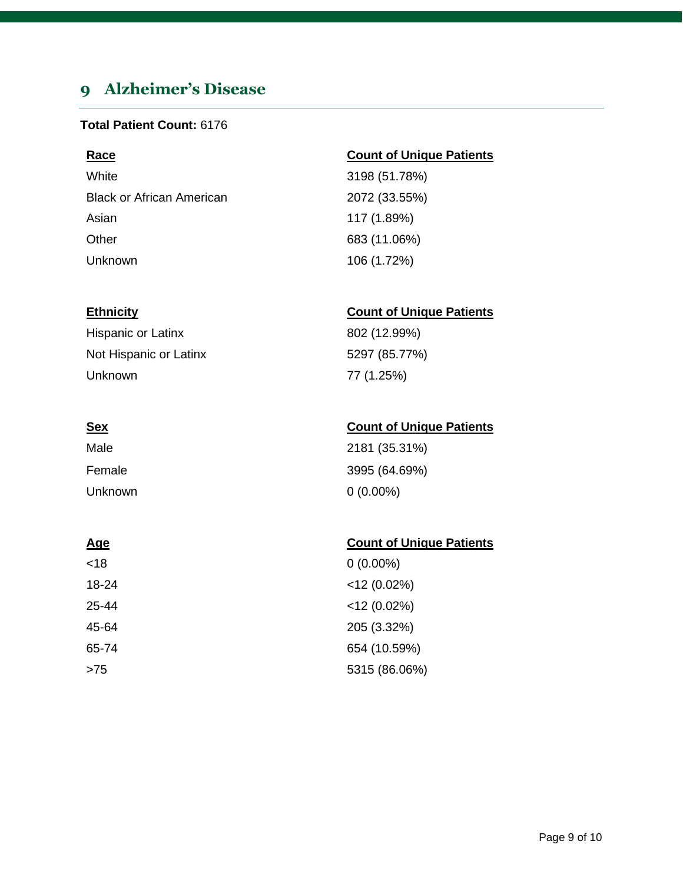# <span id="page-8-0"></span>**9 Alzheimer's Disease**

### **Total Patient Count:** 6176

White 3198 (51.78%) Black or African American 2072 (33.55%) Asian 117 (1.89%) Other 683 (11.06%) Unknown 106 (1.72%)

Hispanic or Latinx 802 (12.99%) Not Hispanic or Latinx 5297 (85.77%) Unknown 77 (1.25%)

| Male    | 2181 (35.31%) |
|---------|---------------|
| Female  | 3995 (64.69%) |
| Unknown | $0(0.00\%)$   |

### **Age** Count of Unique Patients

| <18   | $0(0.00\%)$    |
|-------|----------------|
| 18-24 | $<$ 12 (0.02%) |
| 25-44 | $<$ 12 (0.02%) |
| 45-64 | 205 (3.32%)    |
| 65-74 | 654 (10.59%)   |
| >75   | 5315 (86.06%)  |

### **Race Count of Unique Patients**

### **Ethnicity Count of Unique Patients**